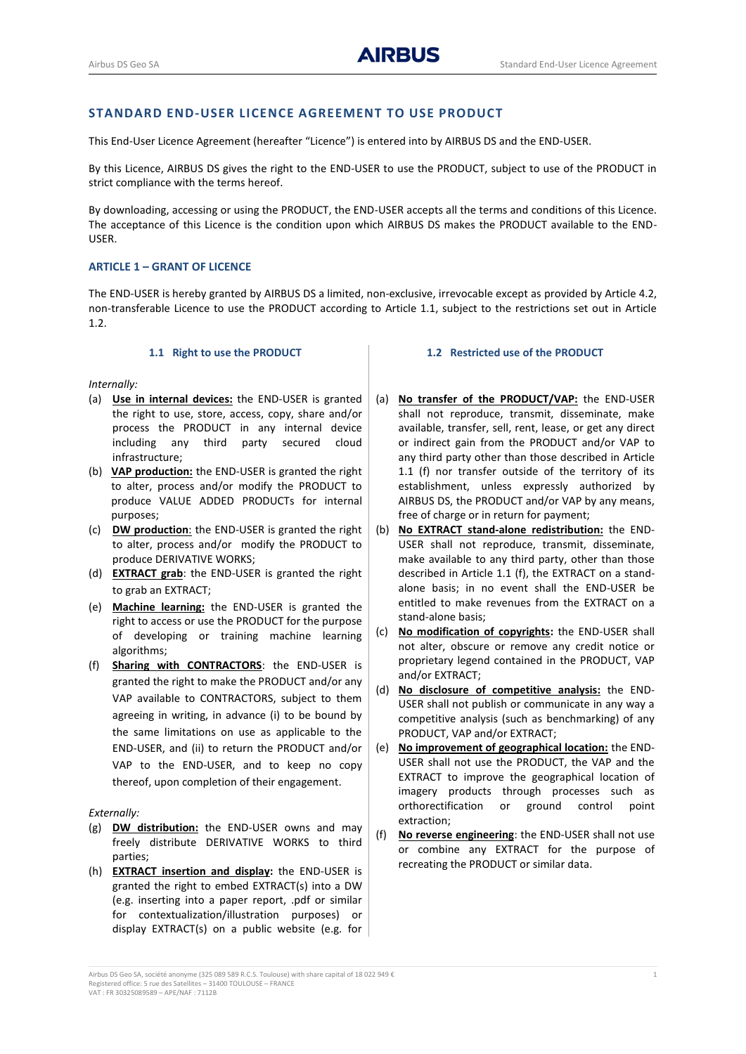# **STANDARD END-USER LICENCE AGREEMENT TO USE PRODUCT**

This End-User Licence Agreement (hereafter "Licence") is entered into by AIRBUS DS and the END-USER.

By this Licence, AIRBUS DS gives the right to the END-USER to use the PRODUCT, subject to use of the PRODUCT in strict compliance with the terms hereof.

By downloading, accessing or using the PRODUCT, the END-USER accepts all the terms and conditions of this Licence. The acceptance of this Licence is the condition upon which AIRBUS DS makes the PRODUCT available to the END-USER.

## **ARTICLE 1 – GRANT OF LICENCE**

The END-USER is hereby granted by AIRBUS DS a limited, non-exclusive, irrevocable except as provided by Article [4.2,](#page-2-0) non-transferable Licence to use the PRODUCT according to Article [1.1,](#page-0-0) subject to the restrictions set out in Article 1.2.

#### **1.1 Right to use the PRODUCT**

#### <span id="page-0-0"></span>*Internally:*

- (a) **Use in internal devices:** the END-USER is granted the right to use, store, access, copy, share and/or process the PRODUCT in any internal device including any third party secured cloud infrastructure;
- (b) **VAP production:** the END-USER is granted the right to alter, process and/or modify the PRODUCT to produce VALUE ADDED PRODUCTs for internal purposes;
- (c) **DW production**: the END-USER is granted the right to alter, process and/or modify the PRODUCT to produce DERIVATIVE WORKS;
- (d) **EXTRACT grab**: the END-USER is granted the right to grab an EXTRACT;
- (e) **Machine learning:** the END-USER is granted the right to access or use the PRODUCT for the purpose of developing or training machine learning algorithms;
- <span id="page-0-1"></span>(f) **Sharing with CONTRACTORS**: the END-USER is granted the right to make the PRODUCT and/or any VAP available to CONTRACTORS, subject to them agreeing in writing, in advance (i) to be bound by the same limitations on use as applicable to the END-USER, and (ii) to return the PRODUCT and/or VAP to the END-USER, and to keep no copy thereof, upon completion of their engagement.

### *Externally:*

- (g) **DW distribution:** the END-USER owns and may freely distribute DERIVATIVE WORKS to third parties;
- (h) **EXTRACT insertion and display:** the END-USER is granted the right to embed EXTRACT(s) into a DW (e.g. inserting into a paper report, .pdf or similar for contextualization/illustration purposes) or display EXTRACT(s) on a public website (e.g. for

# **1.2 Restricted use of the PRODUCT**

- (a) **No transfer of the PRODUCT/VAP:** the END-USER shall not reproduce, transmit, disseminate, make available, transfer, sell, rent, lease, or get any direct or indirect gain from the PRODUCT and/or VAP to any third party other than those described in Article 1.1 [\(f\)](#page-0-1) nor transfer outside of the territory of its establishment, unless expressly authorized by AIRBUS DS, the PRODUCT and/or VAP by any means, free of charge or in return for payment;
- (b) **No EXTRACT stand-alone redistribution:** the END-USER shall not reproduce, transmit, disseminate, make available to any third party, other than those described in Article 1.1 [\(f\),](#page-0-1) the EXTRACT on a standalone basis; in no event shall the END-USER be entitled to make revenues from the EXTRACT on a stand-alone basis;
- (c) **No modification of copyrights:** the END-USER shall not alter, obscure or remove any credit notice or proprietary legend contained in the PRODUCT, VAP and/or EXTRACT;
- (d) **No disclosure of competitive analysis:** the END-USER shall not publish or communicate in any way a competitive analysis (such as benchmarking) of any PRODUCT, VAP and/or EXTRACT;
- (e) **No improvement of geographical location:** the END-USER shall not use the PRODUCT, the VAP and the EXTRACT to improve the geographical location of imagery products through processes such as orthorectification or ground control point extraction;
- (f) **No reverse engineering**: the END-USER shall not use or combine any EXTRACT for the purpose of recreating the PRODUCT or similar data.

Airbus DS Geo SA, société anonyme (325 089 589 R.C.S. Toulouse) with share capital of 18 022 949 € 1 Registered office: 5 rue des Satellites – 31400 TOULOUSE – FRANCE VAT : FR 30325089589 – APE/NAF : 7112B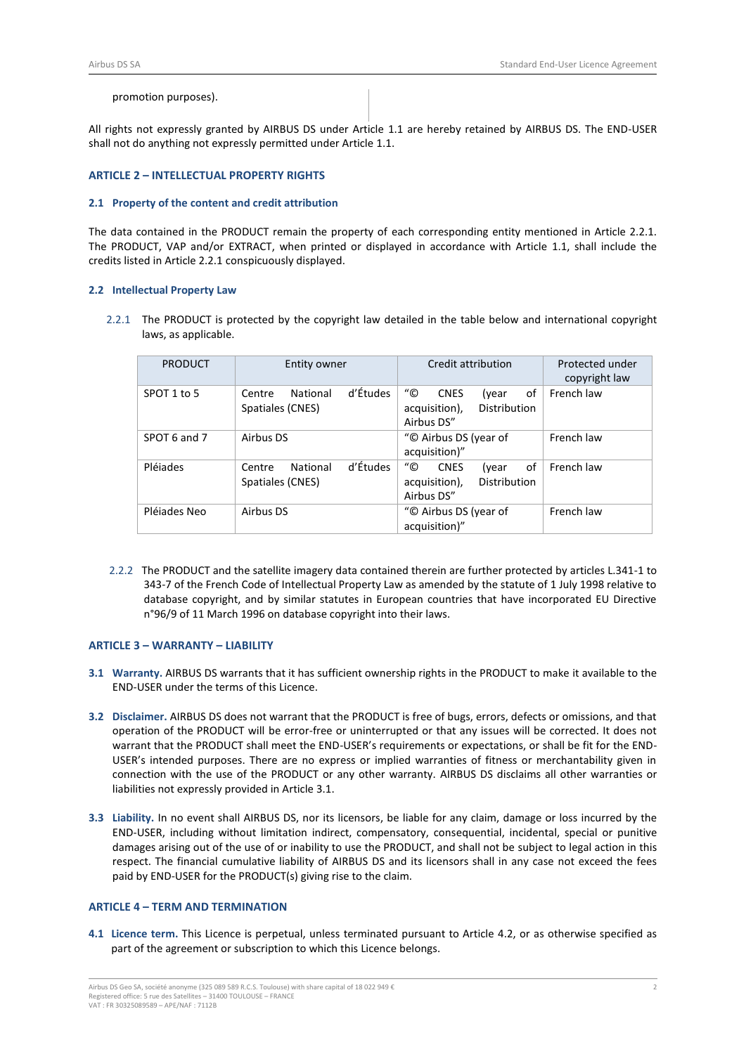## promotion purposes).

All rights not expressly granted by AIRBUS DS under Article [1.1](#page-0-0) are hereby retained by AIRBUS DS. The END-USER shall not do anything not expressly permitted under Articl[e 1.1.](#page-0-0)

## **ARTICLE 2 – INTELLECTUAL PROPERTY RIGHTS**

### **2.1 Property of the content and credit attribution**

The data contained in the PRODUCT remain the property of each corresponding entity mentioned in Article 2.2.1. The PRODUCT, VAP and/or EXTRACT, when printed or displayed in accordance with Article [1.1,](#page-0-0) shall include the credits listed in Article 2.2.1 conspicuously displayed.

## **2.2 Intellectual Property Law**

2.2.1 The PRODUCT is protected by the copyright law detailed in the table below and international copyright laws, as applicable.

| <b>PRODUCT</b> | Entity owner                                       | Credit attribution                                                                               | Protected under<br>copyright law |
|----------------|----------------------------------------------------|--------------------------------------------------------------------------------------------------|----------------------------------|
| SPOT 1 to 5    | d'Études<br>National<br>Centre<br>Spatiales (CNES) | $^{\prime\prime}$ ©<br>of<br><b>CNES</b><br>(year<br>Distribution<br>acquisition),<br>Airbus DS" | French law                       |
| SPOT 6 and 7   | Airbus DS                                          | "© Airbus DS (year of<br>acquisition)"                                                           | French law                       |
| Pléjades       | d'Études<br>National<br>Centre<br>Spatiales (CNES) | "©<br>οf<br><b>CNES</b><br>(year<br>acquisition),<br>Distribution<br>Airbus DS"                  | French law                       |
| Pléjades Neo   | Airbus DS                                          | "© Airbus DS (year of<br>acquisition)"                                                           | French law                       |

2.2.2 The PRODUCT and the satellite imagery data contained therein are further protected by articles L.341-1 to 343-7 of the French Code of Intellectual Property Law as amended by the statute of 1 July 1998 relative to database copyright, and by similar statutes in European countries that have incorporated EU Directive n°96/9 of 11 March 1996 on database copyright into their laws.

## **ARTICLE 3 – WARRANTY – LIABILITY**

- <span id="page-1-0"></span>**3.1 Warranty.** AIRBUS DS warrants that it has sufficient ownership rights in the PRODUCT to make it available to the END-USER under the terms of this Licence.
- **3.2 Disclaimer.** AIRBUS DS does not warrant that the PRODUCT is free of bugs, errors, defects or omissions, and that operation of the PRODUCT will be error-free or uninterrupted or that any issues will be corrected. It does not warrant that the PRODUCT shall meet the END-USER's requirements or expectations, or shall be fit for the END-USER's intended purposes. There are no express or implied warranties of fitness or merchantability given in connection with the use of the PRODUCT or any other warranty. AIRBUS DS disclaims all other warranties or liabilities not expressly provided in Articl[e 3.1.](#page-1-0)
- **3.3 Liability.** In no event shall AIRBUS DS, nor its licensors, be liable for any claim, damage or loss incurred by the END-USER, including without limitation indirect, compensatory, consequential, incidental, special or punitive damages arising out of the use of or inability to use the PRODUCT, and shall not be subject to legal action in this respect. The financial cumulative liability of AIRBUS DS and its licensors shall in any case not exceed the fees paid by END-USER for the PRODUCT(s) giving rise to the claim.

### **ARTICLE 4 – TERM AND TERMINATION**

**4.1 Licence term.** This Licence is perpetual, unless terminated pursuant to Article [4.2,](#page-2-0) or as otherwise specified as part of the agreement or subscription to which this Licence belongs.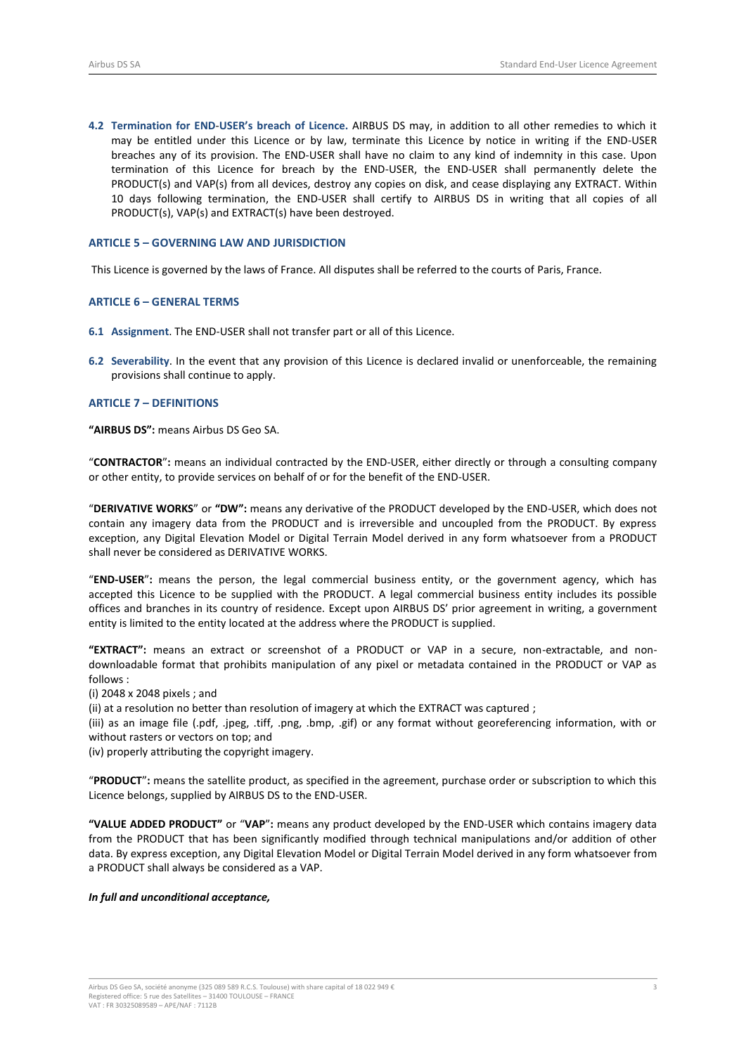<span id="page-2-0"></span>**4.2 Termination for END**-**USER's breach of Licence.** AIRBUS DS may, in addition to all other remedies to which it may be entitled under this Licence or by law, terminate this Licence by notice in writing if the END-USER breaches any of its provision. The END-USER shall have no claim to any kind of indemnity in this case. Upon termination of this Licence for breach by the END-USER, the END-USER shall permanently delete the PRODUCT(s) and VAP(s) from all devices, destroy any copies on disk, and cease displaying any EXTRACT. Within 10 days following termination, the END-USER shall certify to AIRBUS DS in writing that all copies of all PRODUCT(s), VAP(s) and EXTRACT(s) have been destroyed.

# **ARTICLE 5 – GOVERNING LAW AND JURISDICTION**

This Licence is governed by the laws of France. All disputes shall be referred to the courts of Paris, France.

### **ARTICLE 6 – GENERAL TERMS**

- **6.1 Assignment**. The END-USER shall not transfer part or all of this Licence.
- **6.2 Severability**. In the event that any provision of this Licence is declared invalid or unenforceable, the remaining provisions shall continue to apply.

## **ARTICLE 7 – DEFINITIONS**

**"AIRBUS DS":** means Airbus DS Geo SA.

"**CONTRACTOR**"**:** means an individual contracted by the END-USER, either directly or through a consulting company or other entity, to provide services on behalf of or for the benefit of the END-USER.

"**DERIVATIVE WORKS**" or **"DW":** means any derivative of the PRODUCT developed by the END-USER, which does not contain any imagery data from the PRODUCT and is irreversible and uncoupled from the PRODUCT. By express exception, any Digital Elevation Model or Digital Terrain Model derived in any form whatsoever from a PRODUCT shall never be considered as DERIVATIVE WORKS.

"**END-USER**"**:** means the person, the legal commercial business entity, or the government agency, which has accepted this Licence to be supplied with the PRODUCT. A legal commercial business entity includes its possible offices and branches in its country of residence. Except upon AIRBUS DS' prior agreement in writing, a government entity is limited to the entity located at the address where the PRODUCT is supplied.

**"EXTRACT":** means an extract or screenshot of a PRODUCT or VAP in a secure, non-extractable, and nondownloadable format that prohibits manipulation of any pixel or metadata contained in the PRODUCT or VAP as follows :

(i) 2048 x 2048 pixels ; and

(ii) at a resolution no better than resolution of imagery at which the EXTRACT was captured ;

(iii) as an image file (.pdf, .jpeg, .tiff, .png, .bmp, .gif) or any format without georeferencing information, with or without rasters or vectors on top; and

(iv) properly attributing the copyright imagery.

"**PRODUCT**"**:** means the satellite product, as specified in the agreement, purchase order or subscription to which this Licence belongs, supplied by AIRBUS DS to the END-USER.

**"VALUE ADDED PRODUCT"** or "**VAP**"**:** means any product developed by the END-USER which contains imagery data from the PRODUCT that has been significantly modified through technical manipulations and/or addition of other data. By express exception, any Digital Elevation Model or Digital Terrain Model derived in any form whatsoever from a PRODUCT shall always be considered as a VAP.

#### *In full and unconditional acceptance,*